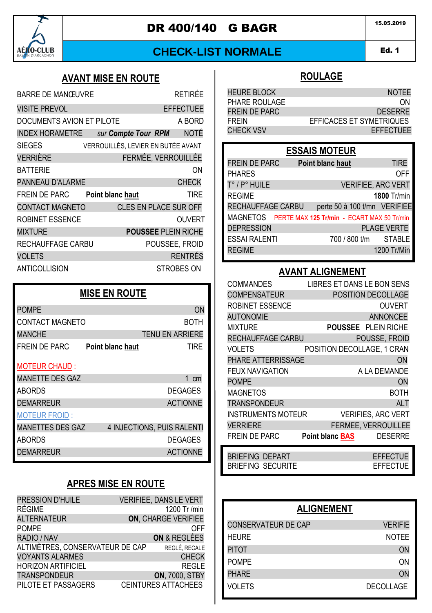

## **DR 400/140 G BAGR** 15.05.2019

## **CHECK-LIST NORMALE**

#### Ed. 1 AMD 1

#### **AVANT MISE EN ROUTE**

| <b>BARRE DE MANŒUVRE</b>  |                                    | RFTIRÉF                      |
|---------------------------|------------------------------------|------------------------------|
| <b>VISITE PREVOL</b>      |                                    | <b>EFFECTUEE</b>             |
| DOCUMENTS AVION ET PILOTE |                                    | A BORD                       |
| <b>INDEX HORAMETRE</b>    | sur Compte Tour RPM                | <b>NOTÉ</b>                  |
| <b>SIEGES</b>             | VERROUILLÉS, LEVIER EN BUTÉE AVANT |                              |
| VERRIÈRE                  |                                    | FERMÉE, VERROUILLÉE          |
| <b>BATTERIE</b>           |                                    | ON                           |
| PANNEAU D'ALARME          |                                    | <b>CHECK</b>                 |
| <b>FREIN DE PARC</b>      | Point blanc haut                   | <b>TIRE</b>                  |
| <b>CONTACT MAGNETO</b>    |                                    | <b>CLES EN PLACE SUR OFF</b> |
| ROBINET ESSENCE           |                                    | <b>OUVERT</b>                |
| <b>MIXTURE</b>            |                                    | <b>POUSSEE PLEIN RICHE</b>   |
| RECHAUFFAGE CARBU         |                                    | POUSSEE, FROID               |
| VOLETS                    |                                    | <b>RENTRÉS</b>               |
| ANTICOLLISION             |                                    | STROBES ON                   |
|                           |                                    |                              |

## **MISE EN ROUTE** POMPE ON A CONTROL CONTROL CONTROL CONTROL CONTROL CONTROL CONTROL CONTROL CONTROL CONTROL CONTROL CONTROL CONTROL CONTROL CONTROL CONTROL CONTROL CONTROL CONTROL CONTROL CONTROL CONTROL CONTROL CONTROL CONTROL CONTROL CON CONTACT MAGNETO BOTH MANCHE TENU EN ARRIERE FREIN DE PARC **Point blanc haut** TIRE MOTEUR CHAUD : MANETTE DES GAZ 1 cm ABORDS DEGAGES DEMARREUR **ACTIONNE** MOTEUR FROID : MANETTES DES GAZ 4 INJECTIONS, PUIS RALENTI ABORDS DEGAGES DEMARREUR **ACTIONNE**

## **APRES MISE EN ROUTE**

| PRESSION D'HUILE<br><b>RÉGIME</b> | <b>VERIFIEE, DANS LE VERT</b><br>1200 Tr /min |
|-----------------------------------|-----------------------------------------------|
| <b>ALTERNATEUR</b>                | <b>ON. CHARGE VERIFIEE</b>                    |
| <b>POMPE</b>                      | OFF                                           |
| RADIO / NAV                       | ON & REGLÉES                                  |
| ALTIMÈTRES. CONSERVATEUR DE CAP   | REGLÉ, RECALE                                 |
| <b>VOYANTS ALARMES</b>            | <b>CHECK</b>                                  |
| <b>HORIZON ARTIFICIEL</b>         | <b>REGLE</b>                                  |
| <b>TRANSPONDEUR</b>               | <b>ON, 7000, STBY</b>                         |
| PILOTE ET PASSAGERS               | <b>CEINTURES ATTACHEES</b>                    |

#### **ROULAGE**

| <b>HEURE BLOCK</b>   | <b>NOTFF</b>             |
|----------------------|--------------------------|
| PHARE ROULAGE        | ΩN                       |
| <b>FREIN DE PARC</b> | <b>DESERRE</b>           |
| <b>FREIN</b>         | EFFICACES ET SYMETRIQUES |
| <b>CHECK VSV</b>     | <b>EFFECTUEF</b>         |

## **ESSAIS MOTEUR**

| <b>FREIN DE PARC</b> | Point blanc haut                                    | <b>TIRE</b>        |
|----------------------|-----------------------------------------------------|--------------------|
| <b>PHARES</b>        |                                                     | OFF                |
| T° / P° HUILE        | <b>VERIFIEE, ARC VERT</b>                           |                    |
| <b>REGIME</b>        |                                                     | 1800 Tr/min        |
| RECHAUFFAGE CARBU    | perte 50 à 100 t/mn VERIFIEE                        |                    |
|                      | MAGNETOS PERTE MAX 125 Tr/min - ECART MAX 50 Tr/min |                    |
| <b>DEPRESSION</b>    |                                                     | <b>PLAGE VERTE</b> |
| <b>ESSAI RALENTI</b> | 700 / 800 t/m STABLE                                |                    |
| <b>REGIME</b>        |                                                     | 1200 Tr/Min        |
|                      |                                                     |                    |

### **AVANT ALIGNEMENT**

| <b>COMMANDES</b>          | LIBRES ET DANS LE BON SENS               |
|---------------------------|------------------------------------------|
| <b>COMPENSATEUR</b>       | POSITION DECOLLAGE                       |
| <b>ROBINET ESSENCE</b>    | <b>OUVERT</b>                            |
| <b>AUTONOMIE</b>          | <b>ANNONCEE</b>                          |
| <b>MIXTURE</b>            | <b>POUSSEE</b> PLEIN RICHE               |
| RECHAUFFAGE CARBU         | POUSSE. FROID                            |
| VOLETS                    | POSITION DECOLLAGE, 1 CRAN               |
| PHARE ATTERRISSAGE        | ON                                       |
| <b>FEUX NAVIGATION</b>    | A LA DEMANDE                             |
| <b>POMPE</b>              | ON                                       |
| <b>MAGNETOS</b>           | BOTH                                     |
| <b>TRANSPONDEUR</b>       | <b>ALT</b>                               |
| <b>INSTRUMENTS MOTEUR</b> | <b>VERIFIES, ARC VERT</b>                |
| <b>VERRIERE</b>           | FERMEE, VERROUILLEE                      |
| <b>FREIN DE PARC</b>      | <b>DESERRE</b><br><b>Point blanc BAS</b> |
| <b>BRIEFING DEPART</b>    | <b>EFFECTUE</b>                          |
| <b>BRIEFING SECURITE</b>  | <b>EFFECTUE</b>                          |

| <b>ALIGNEMENT</b>          |                  |
|----------------------------|------------------|
| <b>CONSERVATEUR DE CAP</b> | <b>VERIFIE</b>   |
| HEURE                      | <b>NOTEE</b>     |
| <b>PITOT</b>               | ON               |
| <b>POMPE</b>               | ON               |
| <b>PHARE</b>               | ON               |
| VOLETS                     | <b>DECOLLAGE</b> |